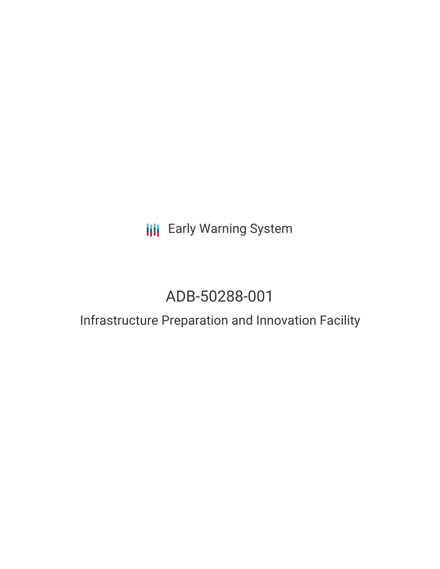# **III** Early Warning System

# ADB-50288-001

## Infrastructure Preparation and Innovation Facility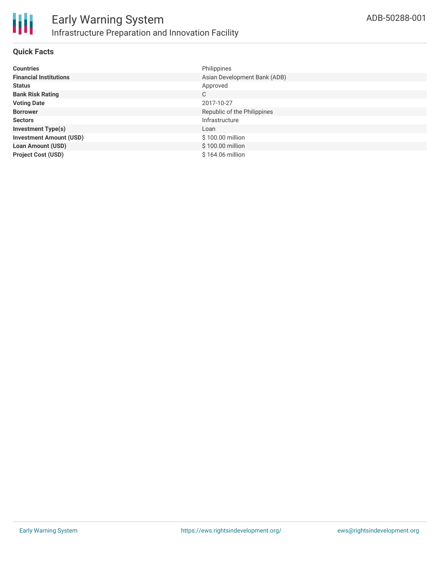

#### **Quick Facts**

| <b>Countries</b>               | Philippines                  |
|--------------------------------|------------------------------|
| <b>Financial Institutions</b>  | Asian Development Bank (ADB) |
| <b>Status</b>                  | Approved                     |
| <b>Bank Risk Rating</b>        | C                            |
| <b>Voting Date</b>             | 2017-10-27                   |
| <b>Borrower</b>                | Republic of the Philippines  |
| <b>Sectors</b>                 | Infrastructure               |
| <b>Investment Type(s)</b>      | Loan                         |
| <b>Investment Amount (USD)</b> | \$100.00 million             |
| <b>Loan Amount (USD)</b>       | \$100.00 million             |
| <b>Project Cost (USD)</b>      | \$164.06 million             |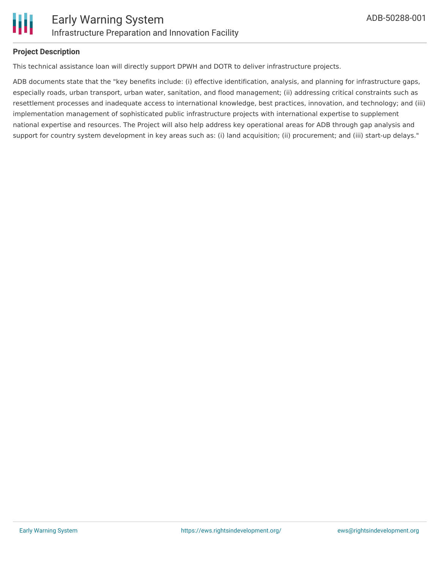

#### **Project Description**

This technical assistance loan will directly support DPWH and DOTR to deliver infrastructure projects.

ADB documents state that the "key benefits include: (i) effective identification, analysis, and planning for infrastructure gaps, especially roads, urban transport, urban water, sanitation, and flood management; (ii) addressing critical constraints such as resettlement processes and inadequate access to international knowledge, best practices, innovation, and technology; and (iii) implementation management of sophisticated public infrastructure projects with international expertise to supplement national expertise and resources. The Project will also help address key operational areas for ADB through gap analysis and support for country system development in key areas such as: (i) land acquisition; (ii) procurement; and (iii) start-up delays."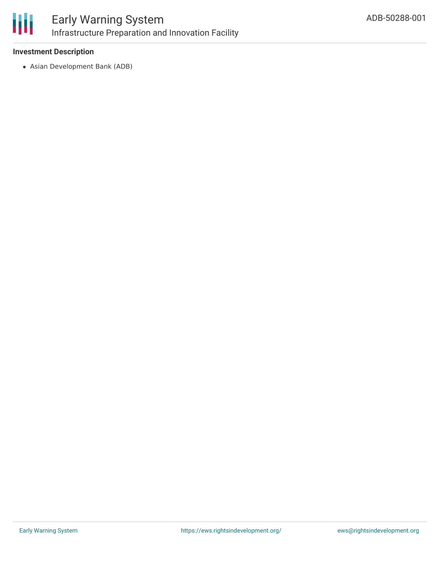

## Early Warning System Infrastructure Preparation and Innovation Facility

#### **Investment Description**

Asian Development Bank (ADB)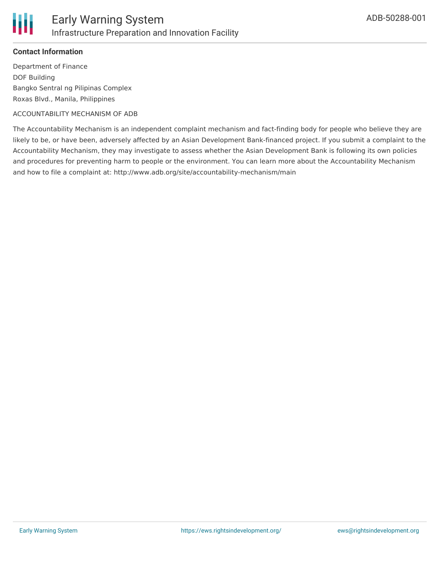

#### **Contact Information**

Department of Finance DOF Building Bangko Sentral ng Pilipinas Complex Roxas Blvd., Manila, Philippines

#### ACCOUNTABILITY MECHANISM OF ADB

The Accountability Mechanism is an independent complaint mechanism and fact-finding body for people who believe they are likely to be, or have been, adversely affected by an Asian Development Bank-financed project. If you submit a complaint to the Accountability Mechanism, they may investigate to assess whether the Asian Development Bank is following its own policies and procedures for preventing harm to people or the environment. You can learn more about the Accountability Mechanism and how to file a complaint at: http://www.adb.org/site/accountability-mechanism/main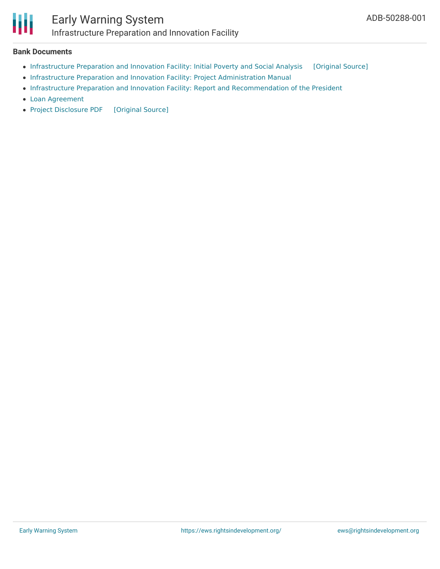

### Early Warning System Infrastructure Preparation and Innovation Facility

#### **Bank Documents**

- [Infrastructure](https://ewsdata.rightsindevelopment.org/files/documents/01/ADB-50288-001_o0C5i2Y.pdf) Preparation and Innovation Facility: Initial Poverty and Social Analysis [\[Original](https://www.adb.org/projects/documents/phi-infrastructure-preparation-and-innovation-facility-ipsa) Source]
- Infrastructure Preparation and Innovation Facility: Project [Administration](https://www.adb.org/projects/documents/phi-50288-001-pam) Manual
- Infrastructure Preparation and Innovation Facility: Report and [Recommendation](https://www.adb.org/projects/documents/phi-50288-001-rrp) of the President
- Loan [Agreement](https://www.adb.org/projects/documents/phi-50288-001-lna)
- Project [Disclosure](https://ewsdata.rightsindevelopment.org/files/documents/01/ADB-50288-001.pdf) PDF [\[Original](https://www.adb.org/printpdf/projects/50288-001/main) Source]